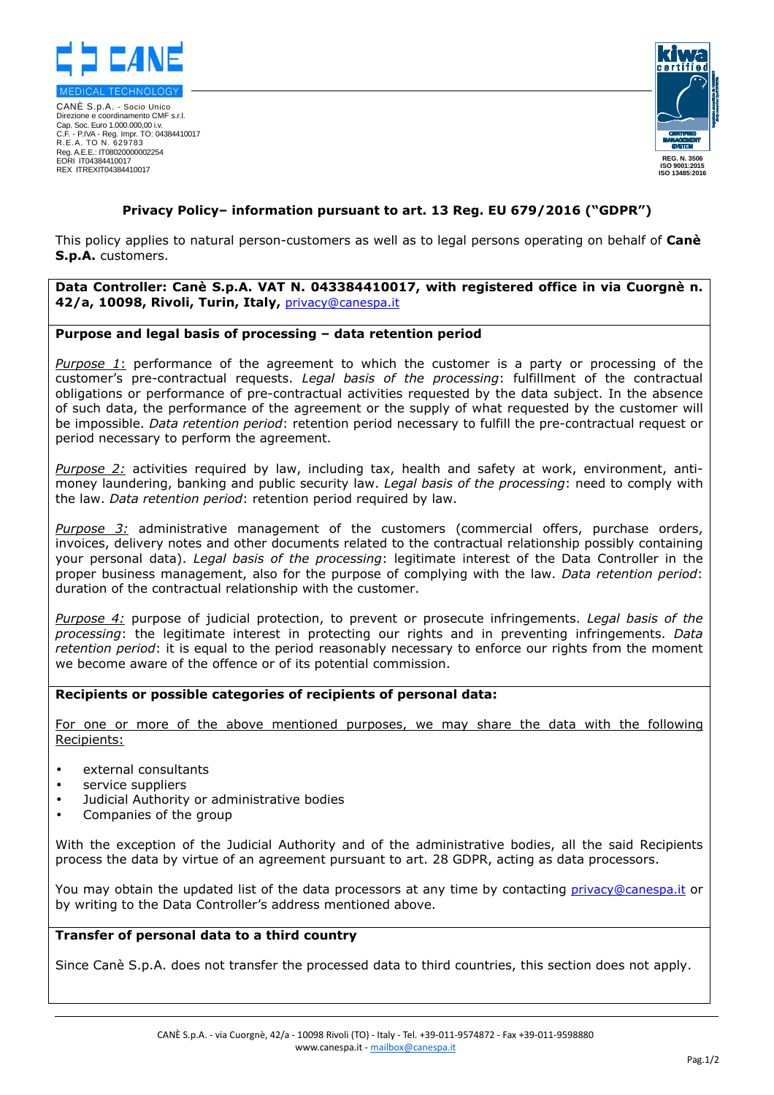

CANÈ S.p.A. - Socio Unico Direzione e coordinamento CMF s.r.l. Cap. Soc. Euro 1.000.000,00 i.v. C.F. - P.IVA - Reg. Impr. TO: 04384410017 R.E.A. TO N. 629783 Reg. A.E.E.: IT08020000002254 EORI IT04384410017 REX ITREXIT04384410017



# **Privacy Policy– information pursuant to art. 13 Reg. EU 679/2016 ("GDPR")**

This policy applies to natural person-customers as well as to legal persons operating on behalf of **Canè S.p.A.** customers.

**Data Controller: Canè S.p.A. VAT N. 043384410017, with registered office in via Cuorgnè n. 42/a, 10098, Rivoli, Turin, Italy,** privacy@canespa.it

### **Purpose and legal basis of processing – data retention period**

*Purpose 1*: performance of the agreement to which the customer is a party or processing of the customer's pre-contractual requests. *Legal basis of the processing*: fulfillment of the contractual obligations or performance of pre-contractual activities requested by the data subject. In the absence of such data, the performance of the agreement or the supply of what requested by the customer will be impossible. *Data retention period*: retention period necessary to fulfill the pre-contractual request or period necessary to perform the agreement.

*Purpose 2:* activities required by law, including tax, health and safety at work, environment, antimoney laundering, banking and public security law. *Legal basis of the processing*: need to comply with the law. *Data retention period*: retention period required by law.

*Purpose 3:* administrative management of the customers (commercial offers, purchase orders, invoices, delivery notes and other documents related to the contractual relationship possibly containing your personal data). *Legal basis of the processing*: legitimate interest of the Data Controller in the proper business management, also for the purpose of complying with the law. *Data retention period*: duration of the contractual relationship with the customer.

*Purpose 4:* purpose of judicial protection, to prevent or prosecute infringements. *Legal basis of the processing*: the legitimate interest in protecting our rights and in preventing infringements. *Data retention period*: it is equal to the period reasonably necessary to enforce our rights from the moment we become aware of the offence or of its potential commission.

#### **Recipients or possible categories of recipients of personal data:**

For one or more of the above mentioned purposes, we may share the data with the following Recipients:

- external consultants
- service suppliers
- Judicial Authority or administrative bodies
- Companies of the group

With the exception of the Judicial Authority and of the administrative bodies, all the said Recipients process the data by virtue of an agreement pursuant to art. 28 GDPR, acting as data processors.

You may obtain the updated list of the data processors at any time by contacting privacy@canespa.it or by writing to the Data Controller's address mentioned above.

#### **Transfer of personal data to a third country**

Since Canè S.p.A. does not transfer the processed data to third countries, this section does not apply.